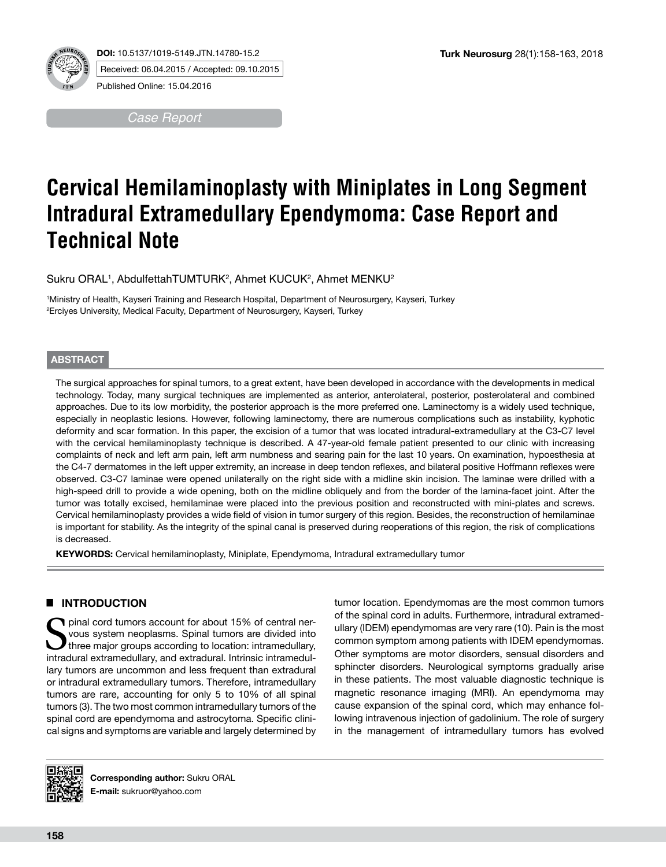



**DOI:** 10.5137/1019-5149.JTN.14780-15.2 Received: 06.04.2015 / Accepted: 09.10.2015

Published Online: 15.04.2016

*Case Report*

# **Cervical Hemilaminoplasty with Miniplates in Long Segment Intradural Extramedullary Ependymoma: Case Report and Technical Note**

Sukru ORAL<sup>1</sup>, AbdulfettahTUMTURK<sup>2</sup>, Ahmet KUCUK<sup>2</sup>, Ahmet MENKU<sup>2</sup>

1 Ministry of Health, Kayseri Training and Research Hospital, Department of Neurosurgery, Kayseri, Turkey 2 Erciyes University, Medical Faculty, Department of Neurosurgery, Kayseri, Turkey

#### **ABSTRACT**

The surgical approaches for spinal tumors, to a great extent, have been developed in accordance with the developments in medical technology. Today, many surgical techniques are implemented as anterior, anterolateral, posterior, posterolateral and combined approaches. Due to its low morbidity, the posterior approach is the more preferred one. Laminectomy is a widely used technique, especially in neoplastic lesions. However, following laminectomy, there are numerous complications such as instability, kyphotic deformity and scar formation. In this paper, the excision of a tumor that was located intradural-extramedullary at the C3-C7 level with the cervical hemilaminoplasty technique is described. A 47-year-old female patient presented to our clinic with increasing complaints of neck and left arm pain, left arm numbness and searing pain for the last 10 years. On examination, hypoesthesia at the C4-7 dermatomes in the left upper extremity, an increase in deep tendon reflexes, and bilateral positive Hoffmann reflexes were observed. C3-C7 laminae were opened unilaterally on the right side with a midline skin incision. The laminae were drilled with a high-speed drill to provide a wide opening, both on the midline obliquely and from the border of the lamina-facet joint. After the tumor was totally excised, hemilaminae were placed into the previous position and reconstructed with mini-plates and screws. Cervical hemilaminoplasty provides a wide field of vision in tumor surgery of this region. Besides, the reconstruction of hemilaminae is important for stability. As the integrity of the spinal canal is preserved during reoperations of this region, the risk of complications is decreased.

KEYWORDS: Cervical hemilaminoplasty, Miniplate, Ependymoma, Intradural extramedullary tumor

## █ **INTRODUCTION**

pinal cord tumors account for about 15% of central nervous system neoplasms. Spinal tumors are divided into three major groups according to location: intramedullary, intradural extramedullary, and extradural. Intrinsic intramedullary tumors are uncommon and less frequent than extradural or intradural extramedullary tumors. Therefore, intramedullary tumors are rare, accounting for only 5 to 10% of all spinal tumors (3). The two most common intramedullary tumors of the spinal cord are ependymoma and astrocytoma. Specific clinical signs and symptoms are variable and largely determined by tumor location. Ependymomas are the most common tumors of the spinal cord in adults. Furthermore, intradural extramedullary (IDEM) ependymomas are very rare (10). Pain is the most common symptom among patients with IDEM ependymomas. Other symptoms are motor disorders, sensual disorders and sphincter disorders. Neurological symptoms gradually arise in these patients. The most valuable diagnostic technique is magnetic resonance imaging (MRI). An ependymoma may cause expansion of the spinal cord, which may enhance following intravenous injection of gadolinium. The role of surgery in the management of intramedullary tumors has evolved



**Corresponding author:** Sukru ORAL **E-mail:** sukruor@yahoo.com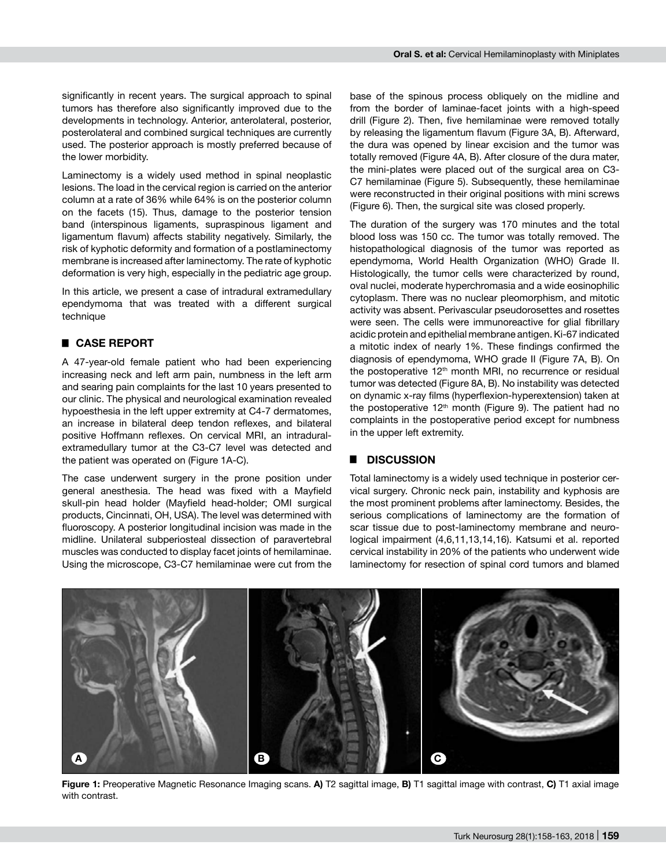significantly in recent years. The surgical approach to spinal tumors has therefore also significantly improved due to the developments in technology. Anterior, anterolateral, posterior, posterolateral and combined surgical techniques are currently used. The posterior approach is mostly preferred because of the lower morbidity.

Laminectomy is a widely used method in spinal neoplastic lesions. The load in the cervical region is carried on the anterior column at a rate of 36% while 64% is on the posterior column on the facets (15). Thus, damage to the posterior tension band (interspinous ligaments, supraspinous ligament and ligamentum flavum) affects stability negatively. Similarly, the risk of kyphotic deformity and formation of a postlaminectomy membrane is increased after laminectomy. The rate of kyphotic deformation is very high, especially in the pediatric age group.

In this article, we present a case of intradural extramedullary ependymoma that was treated with a different surgical technique

## █ **CASE REPORT**

A 47-year-old female patient who had been experiencing increasing neck and left arm pain, numbness in the left arm and searing pain complaints for the last 10 years presented to our clinic. The physical and neurological examination revealed hypoesthesia in the left upper extremity at C4-7 dermatomes, an increase in bilateral deep tendon reflexes, and bilateral positive Hoffmann reflexes. On cervical MRI, an intraduralextramedullary tumor at the C3-C7 level was detected and the patient was operated on (Figure 1A-C).

The case underwent surgery in the prone position under general anesthesia. The head was fixed with a Mayfield skull-pin head holder (Mayfield head-holder; OMI surgical products, Cincinnati, OH, USA). The level was determined with fluoroscopy. A posterior longitudinal incision was made in the midline. Unilateral subperiosteal dissection of paravertebral muscles was conducted to display facet joints of hemilaminae. Using the microscope, C3-C7 hemilaminae were cut from the base of the spinous process obliquely on the midline and from the border of laminae-facet joints with a high-speed drill (Figure 2). Then, five hemilaminae were removed totally by releasing the ligamentum flavum (Figure 3A, B). Afterward, the dura was opened by linear excision and the tumor was totally removed (Figure 4A, B). After closure of the dura mater, the mini-plates were placed out of the surgical area on C3- C7 hemilaminae (Figure 5). Subsequently, these hemilaminae were reconstructed in their original positions with mini screws (Figure 6). Then, the surgical site was closed properly.

The duration of the surgery was 170 minutes and the total blood loss was 150 cc. The tumor was totally removed. The histopathological diagnosis of the tumor was reported as ependymoma, World Health Organization (WHO) Grade II. Histologically, the tumor cells were characterized by round, oval nuclei, moderate hyperchromasia and a wide eosinophilic cytoplasm. There was no nuclear pleomorphism, and mitotic activity was absent. Perivascular pseudorosettes and rosettes were seen. The cells were immunoreactive for glial fibrillary acidic protein and epithelial membrane antigen. Ki-67 indicated a mitotic index of nearly 1%. These findings confirmed the diagnosis of ependymoma, WHO grade II (Figure 7A, B). On the postoperative  $12<sup>th</sup>$  month MRI, no recurrence or residual tumor was detected (Figure 8A, B). No instability was detected on dynamic x-ray films (hyperflexion-hyperextension) taken at the postoperative 12<sup>th</sup> month (Figure 9). The patient had no complaints in the postoperative period except for numbness in the upper left extremity.

### █ **DISCUSSION**

Total laminectomy is a widely used technique in posterior cervical surgery. Chronic neck pain, instability and kyphosis are the most prominent problems after laminectomy. Besides, the serious complications of laminectomy are the formation of scar tissue due to post-laminectomy membrane and neurological impairment (4,6,11,13,14,16). Katsumi et al. reported cervical instability in 20% of the patients who underwent wide laminectomy for resection of spinal cord tumors and blamed



**Figure 1:** Preoperative Magnetic Resonance Imaging scans. **A)** T2 sagittal image, **B)** T1 sagittal image with contrast, **C)** T1 axial image with contrast.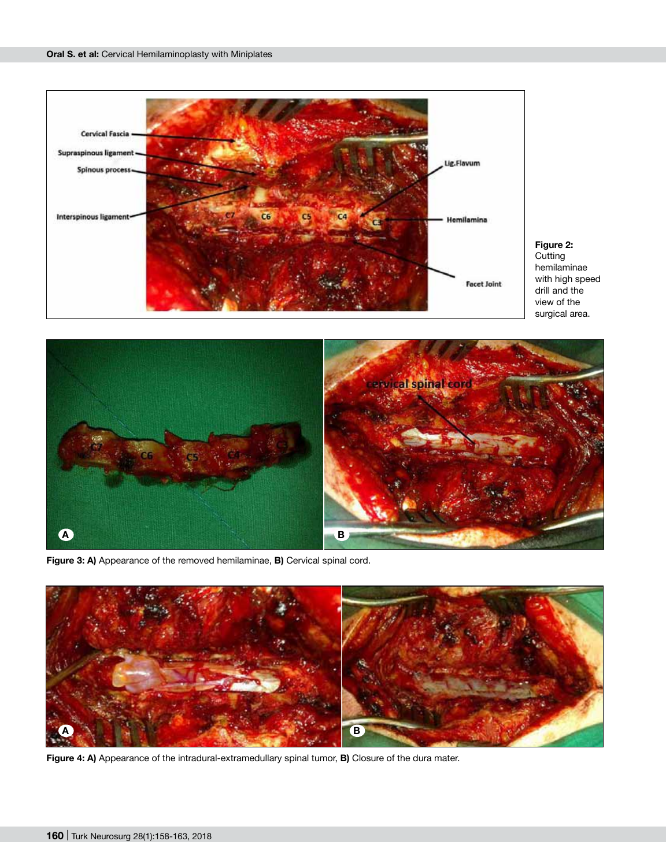





**Figure 3: A)** Appearance of the removed hemilaminae, **B)** Cervical spinal cord.



**Figure 4: A)** Appearance of the intradural-extramedullary spinal tumor, **B)** Closure of the dura mater.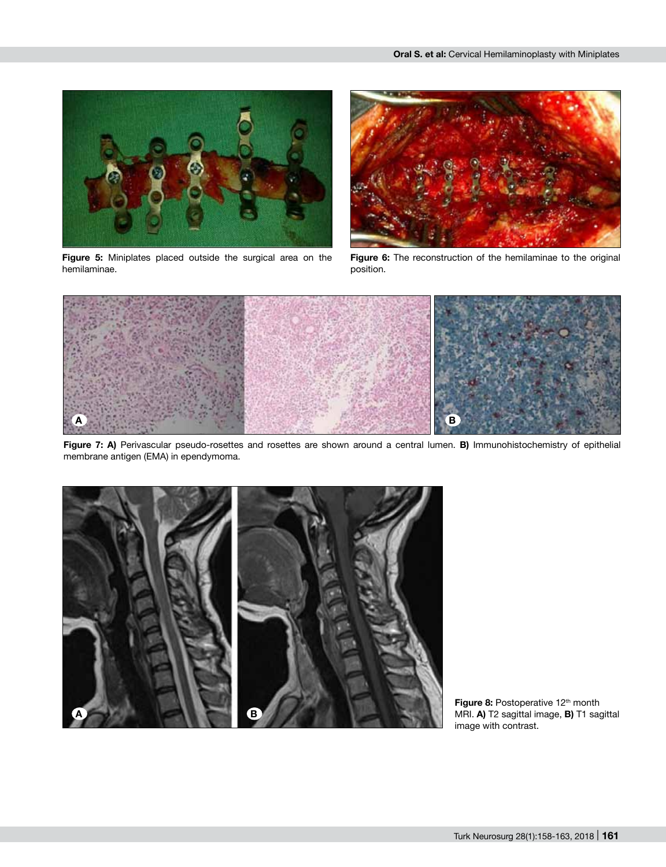

**Figure 5:** Miniplates placed outside the surgical area on the hemilaminae.



**Figure 6:** The reconstruction of the hemilaminae to the original position.



Figure 7: A) Perivascular pseudo-rosettes and rosettes are shown around a central lumen. B) Immunohistochemistry of epithelial membrane antigen (EMA) in ependymoma.



Figure 8: Postoperative 12<sup>th</sup> month MRI. **A)** T2 sagittal image, **B)** T1 sagittal image with contrast.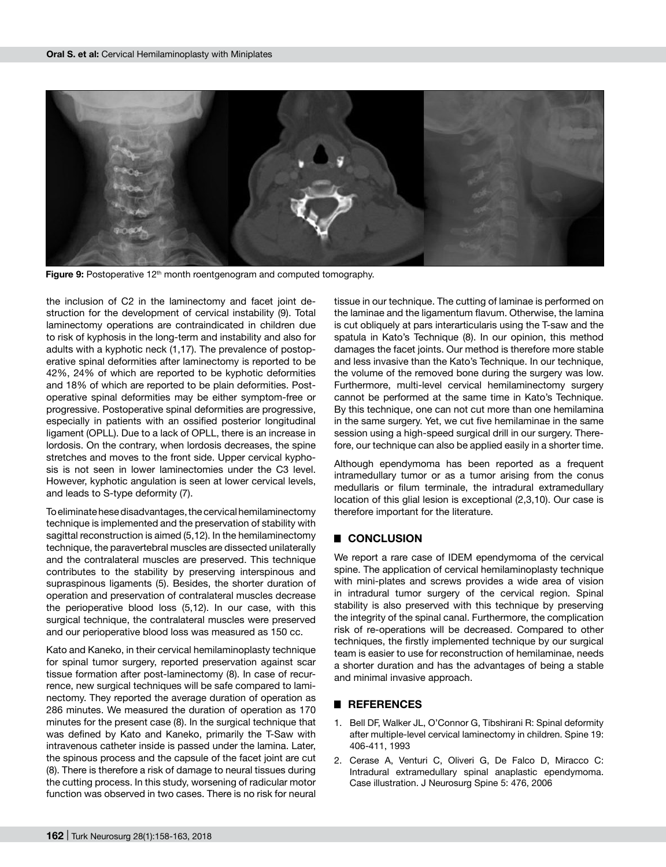

Figure 9: Postoperative 12<sup>th</sup> month roentgenogram and computed tomography.

the inclusion of C2 in the laminectomy and facet joint destruction for the development of cervical instability (9). Total laminectomy operations are contraindicated in children due to risk of kyphosis in the long-term and instability and also for adults with a kyphotic neck (1,17). The prevalence of postoperative spinal deformities after laminectomy is reported to be 42%, 24% of which are reported to be kyphotic deformities and 18% of which are reported to be plain deformities. Postoperative spinal deformities may be either symptom-free or progressive. Postoperative spinal deformities are progressive, especially in patients with an ossified posterior longitudinal ligament (OPLL). Due to a lack of OPLL, there is an increase in lordosis. On the contrary, when lordosis decreases, the spine stretches and moves to the front side. Upper cervical kyphosis is not seen in lower laminectomies under the C3 level. However, kyphotic angulation is seen at lower cervical levels, and leads to S-type deformity (7).

To eliminate hese disadvantages, the cervical hemilaminectomy technique is implemented and the preservation of stability with sagittal reconstruction is aimed (5,12). In the hemilaminectomy technique, the paravertebral muscles are dissected unilaterally and the contralateral muscles are preserved. This technique contributes to the stability by preserving interspinous and supraspinous ligaments (5). Besides, the shorter duration of operation and preservation of contralateral muscles decrease the perioperative blood loss (5,12). In our case, with this surgical technique, the contralateral muscles were preserved and our perioperative blood loss was measured as 150 cc.

Kato and Kaneko, in their cervical hemilaminoplasty technique for spinal tumor surgery, reported preservation against scar tissue formation after post-laminectomy (8). In case of recurrence, new surgical techniques will be safe compared to laminectomy. They reported the average duration of operation as 286 minutes. We measured the duration of operation as 170 minutes for the present case (8). In the surgical technique that was defined by Kato and Kaneko, primarily the T-Saw with intravenous catheter inside is passed under the lamina. Later, the spinous process and the capsule of the facet joint are cut (8). There is therefore a risk of damage to neural tissues during the cutting process. In this study, worsening of radicular motor function was observed in two cases. There is no risk for neural tissue in our technique. The cutting of laminae is performed on the laminae and the ligamentum flavum. Otherwise, the lamina is cut obliquely at pars interarticularis using the T-saw and the spatula in Kato's Technique (8). In our opinion, this method damages the facet joints. Our method is therefore more stable and less invasive than the Kato's Technique. In our technique, the volume of the removed bone during the surgery was low. Furthermore, multi-level cervical hemilaminectomy surgery cannot be performed at the same time in Kato's Technique. By this technique, one can not cut more than one hemilamina in the same surgery. Yet, we cut five hemilaminae in the same session using a high-speed surgical drill in our surgery. Therefore, our technique can also be applied easily in a shorter time.

Although ependymoma has been reported as a frequent intramedullary tumor or as a tumor arising from the conus medullaris or filum terminale, the intradural extramedullary location of this glial lesion is exceptional (2,3,10). Our case is therefore important for the literature.

#### █ **CONCLUSION**

We report a rare case of IDEM ependymoma of the cervical spine. The application of cervical hemilaminoplasty technique with mini-plates and screws provides a wide area of vision in intradural tumor surgery of the cervical region. Spinal stability is also preserved with this technique by preserving the integrity of the spinal canal. Furthermore, the complication risk of re-operations will be decreased. Compared to other techniques, the firstly implemented technique by our surgical team is easier to use for reconstruction of hemilaminae, needs a shorter duration and has the advantages of being a stable and minimal invasive approach.

#### █ **REFERENCES**

- 1. Bell DF, Walker JL, O'Connor G, Tibshirani R: Spinal deformity after multiple-level cervical laminectomy in children. Spine 19: 406-411, 1993
- 2. Cerase A, Venturi C, Oliveri G, De Falco D, Miracco C: Intradural extramedullary spinal anaplastic ependymoma. Case illustration. J Neurosurg Spine 5: 476, 2006